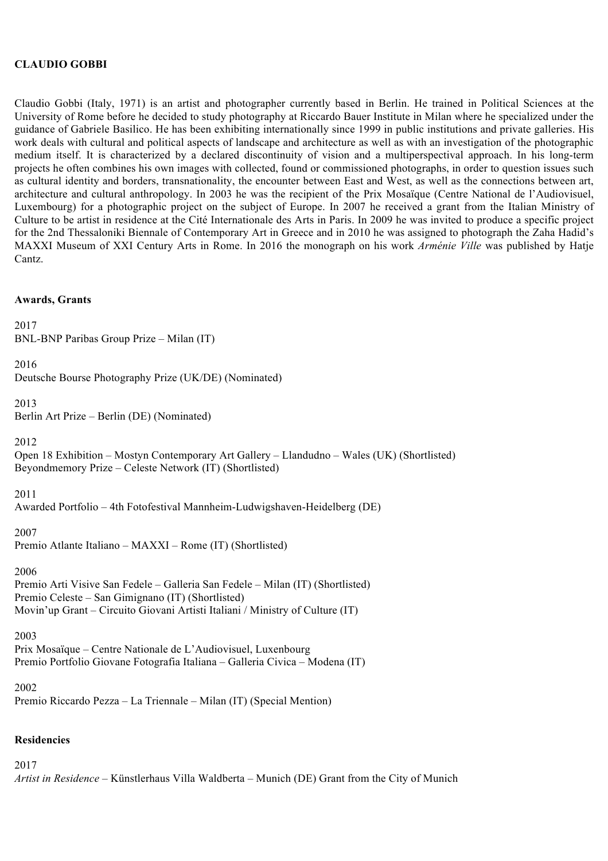## **CLAUDIO GOBBI**

Claudio Gobbi (Italy, 1971) is an artist and photographer currently based in Berlin. He trained in Political Sciences at the University of Rome before he decided to study photography at Riccardo Bauer Institute in Milan where he specialized under the guidance of Gabriele Basilico. He has been exhibiting internationally since 1999 in public institutions and private galleries. His work deals with cultural and political aspects of landscape and architecture as well as with an investigation of the photographic medium itself. It is characterized by a declared discontinuity of vision and a multiperspectival approach. In his long-term projects he often combines his own images with collected, found or commissioned photographs, in order to question issues such as cultural identity and borders, transnationality, the encounter between East and West, as well as the connections between art, architecture and cultural anthropology. In 2003 he was the recipient of the Prix Mosaïque (Centre National de l'Audiovisuel, Luxembourg) for a photographic project on the subject of Europe. In 2007 he received a grant from the Italian Ministry of Culture to be artist in residence at the Cité Internationale des Arts in Paris. In 2009 he was invited to produce a specific project for the 2nd Thessaloniki Biennale of Contemporary Art in Greece and in 2010 he was assigned to photograph the Zaha Hadid's MAXXI Museum of XXI Century Arts in Rome. In 2016 the monograph on his work *Arménie Ville* was published by Hatje Cantz.

#### **Awards, Grants**

2017 BNL-BNP Paribas Group Prize – Milan (IT) 2016 Deutsche Bourse Photography Prize (UK/DE) (Nominated) 2013 Berlin Art Prize – Berlin (DE) (Nominated) 2012 Open 18 Exhibition – Mostyn Contemporary Art Gallery – Llandudno – Wales (UK) (Shortlisted) Beyondmemory Prize – Celeste Network (IT) (Shortlisted) 2011 Awarded Portfolio – 4th Fotofestival Mannheim-Ludwigshaven-Heidelberg (DE) 2007 Premio Atlante Italiano – MAXXI – Rome (IT) (Shortlisted) 2006 Premio Arti Visive San Fedele – Galleria San Fedele – Milan (IT) (Shortlisted) Premio Celeste – San Gimignano (IT) (Shortlisted) Movin'up Grant – Circuito Giovani Artisti Italiani / Ministry of Culture (IT) 2003

Prix Mosaïque – Centre Nationale de L'Audiovisuel, Luxenbourg Premio Portfolio Giovane Fotografia Italiana – Galleria Civica – Modena (IT)

2002

Premio Riccardo Pezza – La Triennale – Milan (IT) (Special Mention)

#### **Residencies**

2017

*Artist in Residence* – Künstlerhaus Villa Waldberta – Munich (DE) Grant from the City of Munich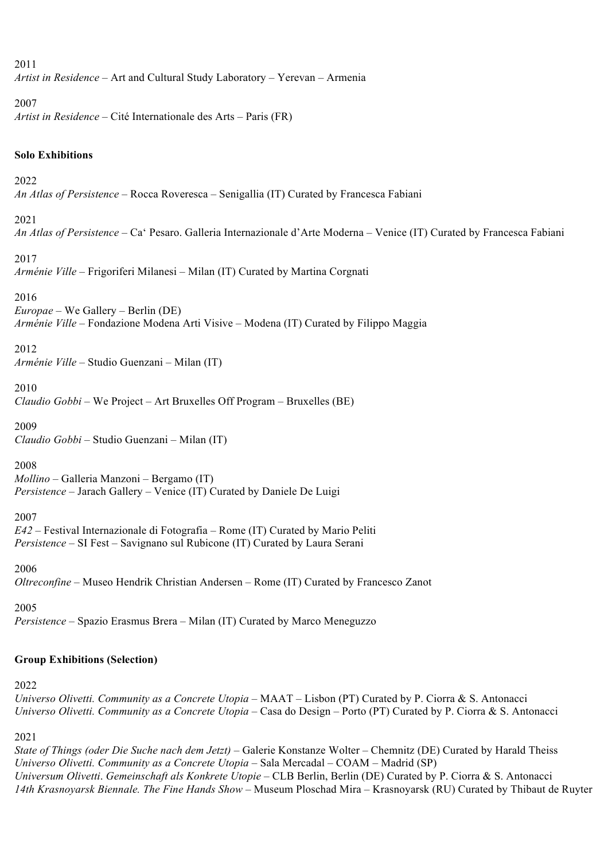#### 2011

*Artist in Residence* – Art and Cultural Study Laboratory – Yerevan – Armenia

#### 2007

*Artist in Residence* – Cité Internationale des Arts – Paris (FR)

### **Solo Exhibitions**

### 2022

*An Atlas of Persistence* – Rocca Roveresca – Senigallia (IT) Curated by Francesca Fabiani

#### 2021

*An Atlas of Persistence* – Ca' Pesaro. Galleria Internazionale d'Arte Moderna – Venice (IT) Curated by Francesca Fabiani

#### 2017

*Arménie Ville* – Frigoriferi Milanesi *–* Milan (IT) Curated by Martina Corgnati

#### 2016

*Europae* – We Gallery – Berlin (DE) *Arménie Ville* – Fondazione Modena Arti Visive – Modena (IT) Curated by Filippo Maggia

#### 2012

*Arménie Ville* – Studio Guenzani – Milan (IT)

#### 2010

*Claudio Gobbi* – We Project – Art Bruxelles Off Program – Bruxelles (BE)

### 2009

*Claudio Gobbi* – Studio Guenzani – Milan (IT)

#### 2008

*Mollino* – Galleria Manzoni – Bergamo (IT) *Persistence* – Jarach Gallery – Venice (IT) Curated by Daniele De Luigi

## 2007

*E42* – Festival Internazionale di Fotografia – Rome (IT) Curated by Mario Peliti *Persistence* – SI Fest – Savignano sul Rubicone (IT) Curated by Laura Serani

#### 2006

*Oltreconfine* – Museo Hendrik Christian Andersen – Rome (IT) Curated by Francesco Zanot

2005

*Persistence* – Spazio Erasmus Brera – Milan (IT) Curated by Marco Meneguzzo

# **Group Exhibitions (Selection)**

## 2022

*Universo Olivetti. Community as a Concrete Utopia* – MAAT – Lisbon (PT) Curated by P. Ciorra & S. Antonacci *Universo Olivetti. Community as a Concrete Utopia* – Casa do Design – Porto (PT) Curated by P. Ciorra & S. Antonacci

## 2021

*State of Things (oder Die Suche nach dem Jetzt)* – Galerie Konstanze Wolter – Chemnitz (DE) Curated by Harald Theiss *Universo Olivetti. Community as a Concrete Utopia* – Sala Mercadal – COAM – Madrid (SP) *Universum Olivetti*. *Gemeinschaft als Konkrete Utopie –* CLB Berlin, Berlin (DE) Curated by P. Ciorra & S. Antonacci *14th Krasnoyarsk Biennale. The Fine Hands Show –* Museum Ploschad Mira – Krasnoyarsk (RU) Curated by Thibaut de Ruyter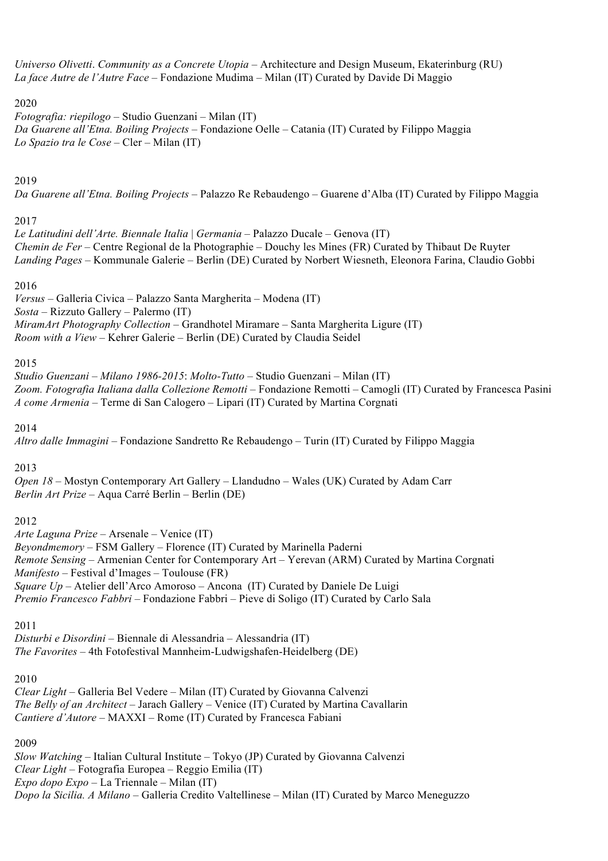*Universo Olivetti*. *Community as a Concrete Utopia* – Architecture and Design Museum, Ekaterinburg (RU) *La face Autre de l'Autre Face* – Fondazione Mudima – Milan (IT) Curated by Davide Di Maggio

### 2020

*Fotografia: riepilogo* – Studio Guenzani – Milan (IT) *Da Guarene all'Etna. Boiling Projects –* Fondazione Oelle – Catania (IT) Curated by Filippo Maggia *Lo Spazio tra le Cose* – Cler – Milan (IT)

## 2019

*Da Guarene all'Etna. Boiling Projects* – Palazzo Re Rebaudengo – Guarene d'Alba (IT) Curated by Filippo Maggia

## 2017

*Le Latitudini dell'Arte. Biennale Italia* | *Germania* – Palazzo Ducale – Genova (IT) *Chemin de Fer* – Centre Regional de la Photographie – Douchy les Mines (FR) Curated by Thibaut De Ruyter *Landing Pages* – Kommunale Galerie – Berlin (DE) Curated by Norbert Wiesneth, Eleonora Farina, Claudio Gobbi

## 2016

*Versus* – Galleria Civica – Palazzo Santa Margherita – Modena (IT) *Sosta* – Rizzuto Gallery – Palermo (IT) *MiramArt Photography Collection* – Grandhotel Miramare – Santa Margherita Ligure (IT) *Room with a View* – Kehrer Galerie – Berlin (DE) Curated by Claudia Seidel

### 2015

*Studio Guenzani – Milano 1986-2015*: *Molto-Tutto* – Studio Guenzani – Milan (IT) *Zoom. Fotografia Italiana dalla Collezione Remotti* – Fondazione Remotti – Camogli (IT) Curated by Francesca Pasini *A come Armenia* – Terme di San Calogero – Lipari (IT) Curated by Martina Corgnati

#### 2014

*Altro dalle Immagini* – Fondazione Sandretto Re Rebaudengo – Turin (IT) Curated by Filippo Maggia

## 2013

*Open 18* – Mostyn Contemporary Art Gallery – Llandudno – Wales (UK) Curated by Adam Carr *Berlin Art Prize* – Aqua Carré Berlin – Berlin (DE)

## 2012

*Arte Laguna Prize* – Arsenale – Venice (IT) *Beyondmemory* – FSM Gallery – Florence (IT) Curated by Marinella Paderni *Remote Sensing* – Armenian Center for Contemporary Art – Yerevan (ARM) Curated by Martina Corgnati *Manifesto* – Festival d'Images – Toulouse (FR) *Square Up* – Atelier dell'Arco Amoroso – Ancona (IT) Curated by Daniele De Luigi *Premio Francesco Fabbri* – Fondazione Fabbri – Pieve di Soligo (IT) Curated by Carlo Sala

## 2011

*Disturbi e Disordini* – Biennale di Alessandria – Alessandria (IT) *The Favorites* – 4th Fotofestival Mannheim-Ludwigshafen-Heidelberg (DE)

#### 2010

*Clear Light* – Galleria Bel Vedere – Milan (IT) Curated by Giovanna Calvenzi *The Belly of an Architect* – Jarach Gallery – Venice (IT) Curated by Martina Cavallarin *Cantiere d'Autore* – MAXXI – Rome (IT) Curated by Francesca Fabiani

## 2009

*Slow Watching* – Italian Cultural Institute – Tokyo (JP) Curated by Giovanna Calvenzi *Clear Light* – Fotografia Europea – Reggio Emilia (IT) *Expo dopo Expo* – La Triennale – Milan (IT) *Dopo la Sicilia. A Milano* – Galleria Credito Valtellinese – Milan (IT) Curated by Marco Meneguzzo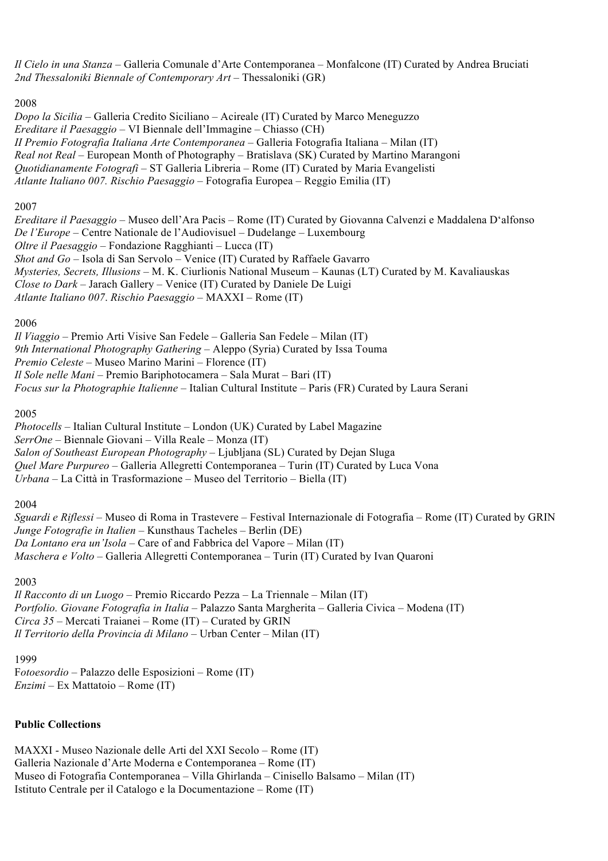*Il Cielo in una Stanza* – Galleria Comunale d'Arte Contemporanea – Monfalcone (IT) Curated by Andrea Bruciati *2nd Thessaloniki Biennale of Contemporary Art –* Thessaloniki (GR)

#### 2008

*Dopo la Sicilia* – Galleria Credito Siciliano – Acireale (IT) Curated by Marco Meneguzzo *Ereditare il Paesaggio* – VI Biennale dell'Immagine – Chiasso (CH) *II Premio Fotografia Italiana Arte Contemporanea* – Galleria Fotografia Italiana – Milan (IT) *Real not Real* – European Month of Photography – Bratislava (SK) Curated by Martino Marangoni *Quotidianamente Fotografi* – ST Galleria Libreria – Rome (IT) Curated by Maria Evangelisti *Atlante Italiano 007. Rischio Paesaggio* – Fotografia Europea – Reggio Emilia (IT)

#### 2007

*Ereditare il Paesaggio* – Museo dell'Ara Pacis – Rome (IT) Curated by Giovanna Calvenzi e Maddalena D'alfonso *De l'Europe* – Centre Nationale de l'Audiovisuel – Dudelange – Luxembourg *Oltre il Paesaggio* – Fondazione Ragghianti – Lucca (IT) *Shot and Go* – Isola di San Servolo – Venice (IT) Curated by Raffaele Gavarro *Mysteries, Secrets, Illusions* – M. K. Ciurlionis National Museum – Kaunas (LT) Curated by M. Kavaliauskas *Close to Dark* – Jarach Gallery – Venice (IT) Curated by Daniele De Luigi *Atlante Italiano 007*. *Rischio Paesaggio* – MAXXI – Rome (IT)

#### 2006

*Il Viaggio* – Premio Arti Visive San Fedele – Galleria San Fedele – Milan (IT) *9th International Photography Gathering* – Aleppo (Syria) Curated by Issa Touma *Premio Celeste* – Museo Marino Marini – Florence (IT) *Il Sole nelle Mani* – Premio Bariphotocamera – Sala Murat – Bari (IT) *Focus sur la Photographie Italienne* – Italian Cultural Institute – Paris (FR) Curated by Laura Serani

2005

*Photocells* – Italian Cultural Institute – London (UK) Curated by Label Magazine *SerrOne* – Biennale Giovani – Villa Reale – Monza (IT) *Salon of Southeast European Photography* – Ljubljana (SL) Curated by Dejan Sluga *Quel Mare Purpureo* – Galleria Allegretti Contemporanea – Turin (IT) Curated by Luca Vona *Urbana* – La Città in Trasformazione – Museo del Territorio – Biella (IT)

2004

*Sguardi e Riflessi* – Museo di Roma in Trastevere – Festival Internazionale di Fotografia – Rome (IT) Curated by GRIN *Junge Fotografie in Italien* – Kunsthaus Tacheles – Berlin (DE) *Da Lontano era un'Isola* – Care of and Fabbrica del Vapore – Milan (IT) *Maschera e Volto* – Galleria Allegretti Contemporanea – Turin (IT) Curated by Ivan Quaroni

2003

*Il Racconto di un Luogo* – Premio Riccardo Pezza – La Triennale – Milan (IT) *Portfolio. Giovane Fotografia in Italia –* Palazzo Santa Margherita – Galleria Civica – Modena (IT) *Circa 35* – Mercati Traianei – Rome (IT) – Curated by GRIN *Il Territorio della Provincia di Milano* – Urban Center – Milan (IT)

#### 1999

F*otoesordio* – Palazzo delle Esposizioni – Rome (IT) *Enzimi* – Ex Mattatoio – Rome (IT)

# **Public Collections**

MAXXI - Museo Nazionale delle Arti del XXI Secolo – Rome (IT) Galleria Nazionale d'Arte Moderna e Contemporanea – Rome (IT) Museo di Fotografia Contemporanea – Villa Ghirlanda – Cinisello Balsamo – Milan (IT) Istituto Centrale per il Catalogo e la Documentazione – Rome (IT)